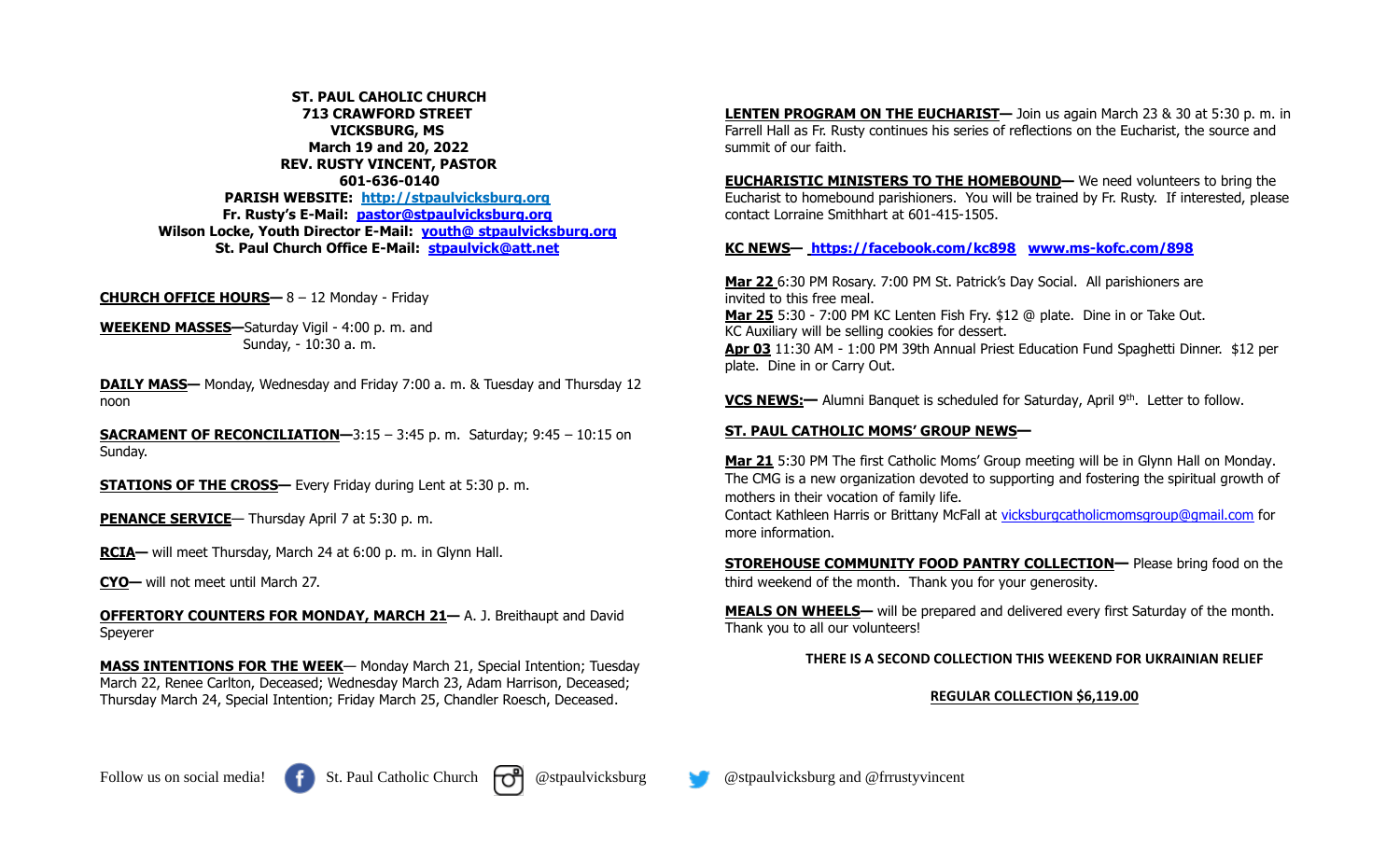**ST. PAUL CAHOLIC CHURCH 713 CRAWFORD STREET VICKSBURG, MS March 19 and 20, 2022 REV. RUSTY VINCENT, PASTOR 601-636-0140 PARISH WEBSITE: http://stpaulvicksburg.org Fr. Rusty's E-Mail: [pastor@stpaulvicksburg.org](mailto:pastor@stpaulvicksburg.org) Wilson Locke, Youth Director E-Mail: youth@ [stpaulvicksburg.org](mailto:youth@stpaulvicksburg.org) St. Paul Church Office E-Mail: [stpaulvick@att.net](mailto:stpaulvick@att.net)**

**CHURCH OFFICE HOURS—** 8 – 12 Monday - Friday

**WEEKEND MASSES—**Saturday Vigil - 4:00 p. m. and Sunday, - 10:30 a. m.

**DAILY MASS—** Monday, Wednesday and Friday 7:00 a. m. & Tuesday and Thursday 12 noon

**SACRAMENT OF RECONCILIATION—**3:15 – 3:45 p. m. Saturday; 9:45 – 10:15 on Sunday.

**STATIONS OF THE CROSS—** Every Friday during Lent at 5:30 p.m.

**PENANCE SERVICE**— Thursday April 7 at 5:30 p.m.

**RCIA—** will meet Thursday, March 24 at 6:00 p. m. in Glynn Hall.

**CYO—** will not meet until March 27.

**OFFERTORY COUNTERS FOR MONDAY, MARCH 21—** A. J. Breithaupt and David Speyerer

**MASS INTENTIONS FOR THE WEEK**— Monday March 21, Special Intention; Tuesday March 22, Renee Carlton, Deceased; Wednesday March 23, Adam Harrison, Deceased; Thursday March 24, Special Intention; Friday March 25, Chandler Roesch, Deceased.

**LENTEN PROGRAM ON THE EUCHARIST—** Join us again March 23 & 30 at 5:30 p. m. in Farrell Hall as Fr. Rusty continues his series of reflections on the Eucharist, the source and summit of our faith.

**EUCHARISTIC MINISTERS TO THE HOMEBOUND—** We need volunteers to bring the Eucharist to homebound parishioners. You will be trained by Fr. Rusty. If interested, please contact Lorraine Smithhart at 601-415-1505.

# **KC NEWS— <https://facebook.com/kc898> [www.ms-kofc.com/898](http://www.ms-kofc.com/898)**

**Mar 22** 6:30 PM Rosary. 7:00 PM St. Patrick's Day Social. All parishioners are invited to this free meal. **Mar 25** 5:30 - 7:00 PM KC Lenten Fish Fry. \$12 @ plate. Dine in or Take Out. KC Auxiliary will be selling cookies for dessert. **Apr 03** 11:30 AM - 1:00 PM 39th Annual Priest Education Fund Spaghetti Dinner. \$12 per plate. Dine in or Carry Out.

**VCS NEWS:—** Alumni Banquet is scheduled for Saturday, April 9<sup>th</sup>. Letter to follow.

## **ST. PAUL CATHOLIC MOMS' GROUP NEWS—**

**Mar 21** 5:30 PM The first Catholic Moms' Group meeting will be in Glynn Hall on Monday. The CMG is a new organization devoted to supporting and fostering the spiritual growth of mothers in their vocation of family life.

Contact Kathleen Harris or Brittany McFall at [vicksburgcatholicmomsgroup@gmail.com](mailto:vicksburgcatholicmomsgroup@gmail.com) for more information.

**STOREHOUSE COMMUNITY FOOD PANTRY COLLECTION—** Please bring food on the third weekend of the month. Thank you for your generosity.

**MEALS ON WHEELS—** will be prepared and delivered every first Saturday of the month. Thank you to all our volunteers!

## **THERE IS A SECOND COLLECTION THIS WEEKEND FOR UKRAINIAN RELIEF**

#### **REGULAR COLLECTION \$6,119.00**